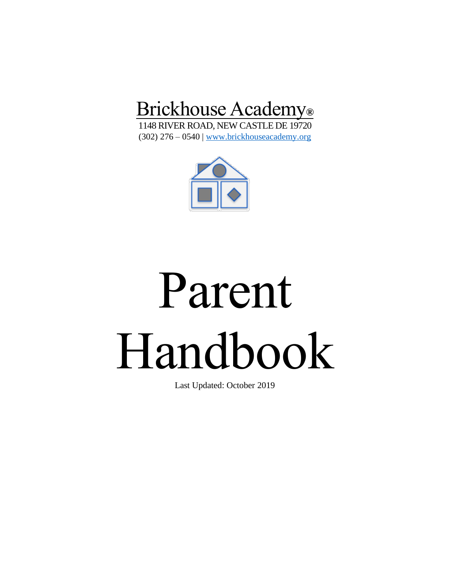

1148 RIVER ROAD, NEW CASTLE DE 19720 (302) 276 – 0540 | [www.brickhouseacademy.org](http://www.brickhouseacademy.org/)



# Parent Handbook

Last Updated: October 2019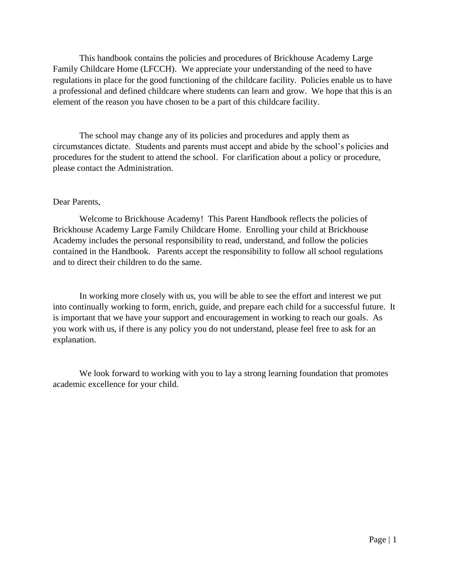This handbook contains the policies and procedures of Brickhouse Academy Large Family Childcare Home (LFCCH). We appreciate your understanding of the need to have regulations in place for the good functioning of the childcare facility. Policies enable us to have a professional and defined childcare where students can learn and grow. We hope that this is an element of the reason you have chosen to be a part of this childcare facility.

The school may change any of its policies and procedures and apply them as circumstances dictate. Students and parents must accept and abide by the school's policies and procedures for the student to attend the school. For clarification about a policy or procedure, please contact the Administration.

#### Dear Parents,

Welcome to Brickhouse Academy! This Parent Handbook reflects the policies of Brickhouse Academy Large Family Childcare Home. Enrolling your child at Brickhouse Academy includes the personal responsibility to read, understand, and follow the policies contained in the Handbook. Parents accept the responsibility to follow all school regulations and to direct their children to do the same.

In working more closely with us, you will be able to see the effort and interest we put into continually working to form, enrich, guide, and prepare each child for a successful future. It is important that we have your support and encouragement in working to reach our goals. As you work with us, if there is any policy you do not understand, please feel free to ask for an explanation.

We look forward to working with you to lay a strong learning foundation that promotes academic excellence for your child.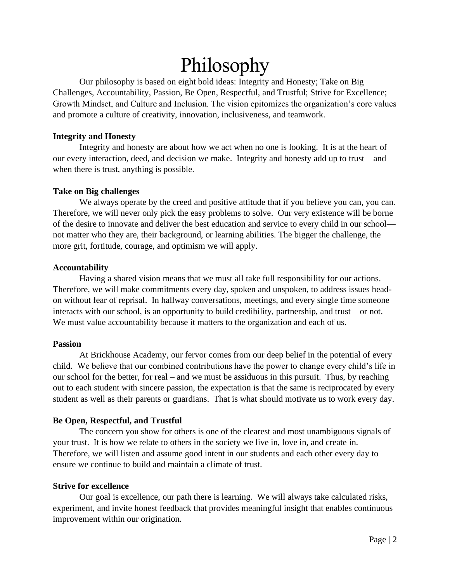### Philosophy

Our philosophy is based on eight bold ideas: Integrity and Honesty; Take on Big Challenges, Accountability, Passion, Be Open, Respectful, and Trustful; Strive for Excellence; Growth Mindset, and Culture and Inclusion. The vision epitomizes the organization's core values and promote a culture of creativity, innovation, inclusiveness, and teamwork.

#### **Integrity and Honesty**

Integrity and honesty are about how we act when no one is looking. It is at the heart of our every interaction, deed, and decision we make. Integrity and honesty add up to trust – and when there is trust, anything is possible.

#### **Take on Big challenges**

We always operate by the creed and positive attitude that if you believe you can, you can. Therefore, we will never only pick the easy problems to solve. Our very existence will be borne of the desire to innovate and deliver the best education and service to every child in our school not matter who they are, their background, or learning abilities. The bigger the challenge, the more grit, fortitude, courage, and optimism we will apply.

#### **Accountability**

Having a shared vision means that we must all take full responsibility for our actions. Therefore, we will make commitments every day, spoken and unspoken, to address issues headon without fear of reprisal. In hallway conversations, meetings, and every single time someone interacts with our school, is an opportunity to build credibility, partnership, and trust – or not. We must value accountability because it matters to the organization and each of us.

#### **Passion**

At Brickhouse Academy, our fervor comes from our deep belief in the potential of every child. We believe that our combined contributions have the power to change every child's life in our school for the better, for real – and we must be assiduous in this pursuit. Thus, by reaching out to each student with sincere passion, the expectation is that the same is reciprocated by every student as well as their parents or guardians. That is what should motivate us to work every day.

#### **Be Open, Respectful, and Trustful**

The concern you show for others is one of the clearest and most unambiguous signals of your trust. It is how we relate to others in the society we live in, love in, and create in. Therefore, we will listen and assume good intent in our students and each other every day to ensure we continue to build and maintain a climate of trust.

#### **Strive for excellence**

Our goal is excellence, our path there is learning. We will always take calculated risks, experiment, and invite honest feedback that provides meaningful insight that enables continuous improvement within our origination.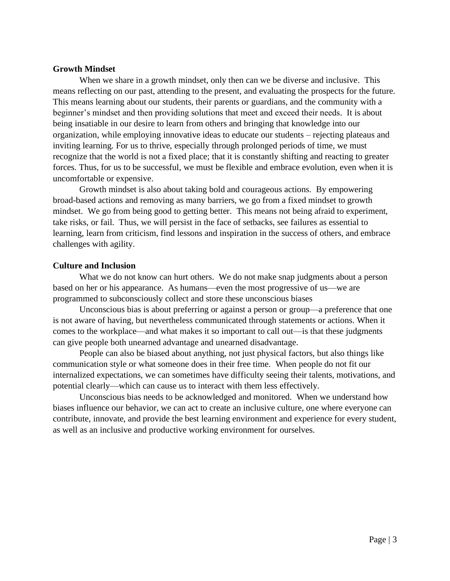#### **Growth Mindset**

When we share in a growth mindset, only then can we be diverse and inclusive. This means reflecting on our past, attending to the present, and evaluating the prospects for the future. This means learning about our students, their parents or guardians, and the community with a beginner's mindset and then providing solutions that meet and exceed their needs. It is about being insatiable in our desire to learn from others and bringing that knowledge into our organization, while employing innovative ideas to educate our students – rejecting plateaus and inviting learning. For us to thrive, especially through prolonged periods of time, we must recognize that the world is not a fixed place; that it is constantly shifting and reacting to greater forces. Thus, for us to be successful, we must be flexible and embrace evolution, even when it is uncomfortable or expensive.

Growth mindset is also about taking bold and courageous actions. By empowering broad-based actions and removing as many barriers, we go from a fixed mindset to growth mindset. We go from being good to getting better. This means not being afraid to experiment, take risks, or fail. Thus, we will persist in the face of setbacks, see failures as essential to learning, learn from criticism, find lessons and inspiration in the success of others, and embrace challenges with agility.

#### **Culture and Inclusion**

What we do not know can hurt others. We do not make snap judgments about a person based on her or his appearance. As humans—even the most progressive of us—we are programmed to subconsciously collect and store these unconscious biases

Unconscious bias is about preferring or against a person or group—a preference that one is not aware of having, but nevertheless communicated through statements or actions. When it comes to the workplace—and what makes it so important to call out—is that these judgments can give people both unearned advantage and unearned disadvantage.

People can also be biased about anything, not just physical factors, but also things like communication style or what someone does in their free time. When people do not fit our internalized expectations, we can sometimes have difficulty seeing their talents, motivations, and potential clearly—which can cause us to interact with them less effectively.

Unconscious bias needs to be acknowledged and monitored. When we understand how biases influence our behavior, we can act to create an inclusive culture, one where everyone can contribute, innovate, and provide the best learning environment and experience for every student, as well as an inclusive and productive working environment for ourselves.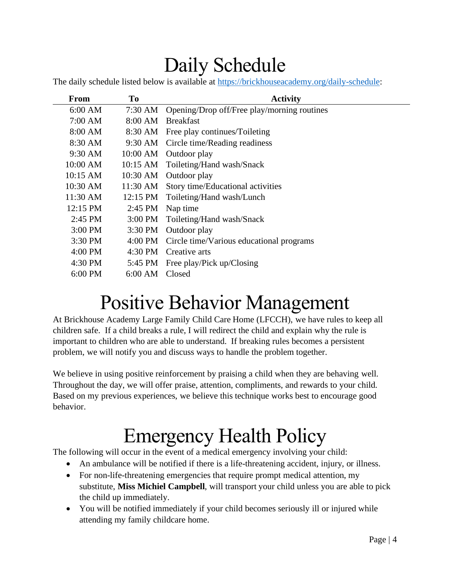### Daily Schedule

The daily schedule listed below is available at [https://brickhouseacademy.org/daily-schedule:](https://brickhouseacademy.org/daily-schedule)

| <b>From</b> | To             | <b>Activity</b>                                     |
|-------------|----------------|-----------------------------------------------------|
| 6:00 AM     |                | 7:30 AM Opening/Drop off/Free play/morning routines |
| 7:00 AM     | 8:00 AM        | <b>Breakfast</b>                                    |
| 8:00 AM     |                | 8:30 AM Free play continues/Toileting               |
| 8:30 AM     |                | 9:30 AM Circle time/Reading readiness               |
| 9:30 AM     |                | 10:00 AM Outdoor play                               |
| 10:00 AM    |                | 10:15 AM Toileting/Hand wash/Snack                  |
| 10:15 AM    |                | 10:30 AM Outdoor play                               |
| 10:30 AM    |                | 11:30 AM Story time/Educational activities          |
| 11:30 AM    |                | 12:15 PM Toileting/Hand wash/Lunch                  |
| 12:15 PM    |                | 2:45 PM Nap time                                    |
| $2:45$ PM   |                | 3:00 PM Toileting/Hand wash/Snack                   |
| 3:00 PM     | 3:30 PM        | Outdoor play                                        |
| 3:30 PM     |                | 4:00 PM Circle time/Various educational programs    |
| 4:00 PM     | 4:30 PM        | Creative arts                                       |
| 4:30 PM     |                | 5:45 PM Free play/Pick up/Closing                   |
| 6:00 PM     | 6:00 AM Closed |                                                     |

### Positive Behavior Management

At Brickhouse Academy Large Family Child Care Home (LFCCH), we have rules to keep all children safe. If a child breaks a rule, I will redirect the child and explain why the rule is important to children who are able to understand. If breaking rules becomes a persistent problem, we will notify you and discuss ways to handle the problem together.

We believe in using positive reinforcement by praising a child when they are behaving well. Throughout the day, we will offer praise, attention, compliments, and rewards to your child. Based on my previous experiences, we believe this technique works best to encourage good behavior.

### Emergency Health Policy

The following will occur in the event of a medical emergency involving your child:

- An ambulance will be notified if there is a life-threatening accident, injury, or illness.
- For non-life-threatening emergencies that require prompt medical attention, my substitute, **Miss Michiel Campbell**, will transport your child unless you are able to pick the child up immediately.
- You will be notified immediately if your child becomes seriously ill or injured while attending my family childcare home.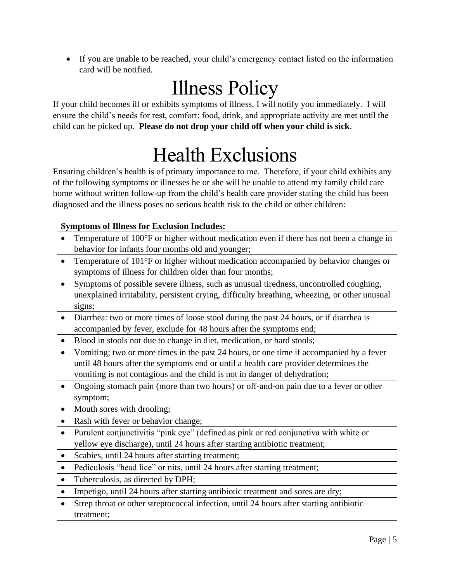• If you are unable to be reached, your child's emergency contact listed on the information card will be notified.

# Illness Policy

If your child becomes ill or exhibits symptoms of illness, I will notify you immediately. I will ensure the child's needs for rest, comfort; food, drink, and appropriate activity are met until the child can be picked up. **Please do not drop your child off when your child is sick**.

# Health Exclusions

Ensuring children's health is of primary importance to me. Therefore, if your child exhibits any of the following symptoms or illnesses he or she will be unable to attend my family child care home without written follow-up from the child's health care provider stating the child has been diagnosed and the illness poses no serious health risk to the child or other children:

### **Symptoms of Illness for Exclusion Includes:**

- Temperature of 100°F or higher without medication even if there has not been a change in behavior for infants four months old and younger;
- Temperature of 101°F or higher without medication accompanied by behavior changes or symptoms of illness for children older than four months;
- Symptoms of possible severe illness, such as unusual tiredness, uncontrolled coughing, unexplained irritability, persistent crying, difficulty breathing, wheezing, or other unusual signs;
- Diarrhea: two or more times of loose stool during the past 24 hours, or if diarrhea is accompanied by fever, exclude for 48 hours after the symptoms end;
- Blood in stools not due to change in diet, medication, or hard stools;
- Vomiting; two or more times in the past 24 hours, or one time if accompanied by a fever until 48 hours after the symptoms end or until a health care provider determines the vomiting is not contagious and the child is not in danger of dehydration;
- Ongoing stomach pain (more than two hours) or off-and-on pain due to a fever or other symptom;
- Mouth sores with drooling;
- Rash with fever or behavior change;
- Purulent conjunctivitis "pink eye" (defined as pink or red conjunctiva with white or yellow eye discharge), until 24 hours after starting antibiotic treatment;
- Scabies, until 24 hours after starting treatment;
- Pediculosis "head lice" or nits, until 24 hours after starting treatment;
- Tuberculosis, as directed by DPH;
- Impetigo, until 24 hours after starting antibiotic treatment and sores are dry;
- Strep throat or other streptococcal infection, until 24 hours after starting antibiotic treatment;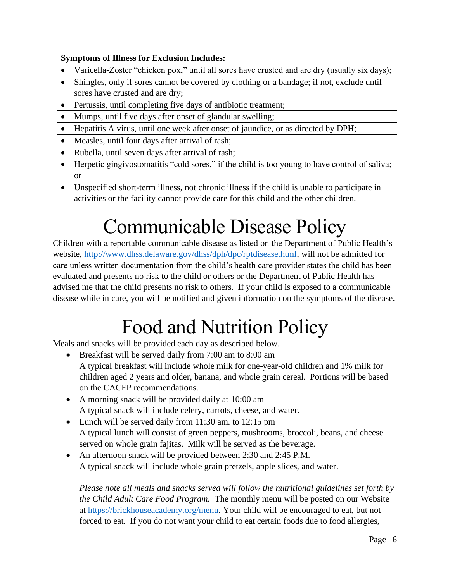#### **Symptoms of Illness for Exclusion Includes:**

- Varicella-Zoster "chicken pox," until all sores have crusted and are dry (usually six days);
- Shingles, only if sores cannot be covered by clothing or a bandage; if not, exclude until sores have crusted and are dry;
- Pertussis, until completing five days of antibiotic treatment;
- Mumps, until five days after onset of glandular swelling;
- Hepatitis A virus, until one week after onset of jaundice, or as directed by DPH;
- Measles, until four days after arrival of rash;
- Rubella, until seven days after arrival of rash;
- Herpetic gingivostomatitis "cold sores," if the child is too young to have control of saliva; or
- Unspecified short-term illness, not chronic illness if the child is unable to participate in activities or the facility cannot provide care for this child and the other children.

# Communicable Disease Policy

Children with a reportable communicable disease as listed on the Department of Public Health's website, [http://www.dhss.delaware.gov/dhss/dph/dpc/rptdisease.html,](http://www.dhss.delaware.gov/dhss/dph/dpc/rptdisease.html) will not be admitted for care unless written documentation from the child's health care provider states the child has been evaluated and presents no risk to the child or others or the Department of Public Health has advised me that the child presents no risk to others. If your child is exposed to a communicable disease while in care, you will be notified and given information on the symptoms of the disease.

# Food and Nutrition Policy

Meals and snacks will be provided each day as described below.

- Breakfast will be served daily from 7:00 am to 8:00 am A typical breakfast will include whole milk for one-year-old children and 1% milk for children aged 2 years and older, banana, and whole grain cereal. Portions will be based on the CACFP recommendations.
- A morning snack will be provided daily at 10:00 am A typical snack will include celery, carrots, cheese, and water.
- Lunch will be served daily from 11:30 am. to 12:15 pm A typical lunch will consist of green peppers, mushrooms, broccoli, beans, and cheese served on whole grain fajitas. Milk will be served as the beverage.
- An afternoon snack will be provided between 2:30 and 2:45 P.M. A typical snack will include whole grain pretzels, apple slices, and water.

*Please note all meals and snacks served will follow the nutritional guidelines set forth by the Child Adult Care Food Program.* The monthly menu will be posted on our Website at [https://brickhouseacademy.org/menu.](https://brickhouseacademy.org/menu) Your child will be encouraged to eat, but not forced to eat. If you do not want your child to eat certain foods due to food allergies,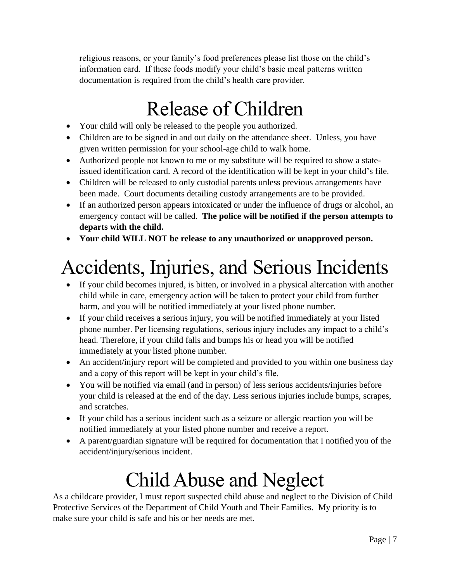religious reasons, or your family's food preferences please list those on the child's information card. If these foods modify your child's basic meal patterns written documentation is required from the child's health care provider.

# Release of Children

- Your child will only be released to the people you authorized.
- Children are to be signed in and out daily on the attendance sheet. Unless, you have given written permission for your school-age child to walk home.
- Authorized people not known to me or my substitute will be required to show a stateissued identification card. A record of the identification will be kept in your child's file.
- Children will be released to only custodial parents unless previous arrangements have been made. Court documents detailing custody arrangements are to be provided.
- If an authorized person appears intoxicated or under the influence of drugs or alcohol, an emergency contact will be called. **The police will be notified if the person attempts to departs with the child.**
- **Your child WILL NOT be release to any unauthorized or unapproved person.**

# Accidents, Injuries, and Serious Incidents

- If your child becomes injured, is bitten, or involved in a physical altercation with another child while in care, emergency action will be taken to protect your child from further harm, and you will be notified immediately at your listed phone number.
- If your child receives a serious injury, you will be notified immediately at your listed phone number. Per licensing regulations, serious injury includes any impact to a child's head. Therefore, if your child falls and bumps his or head you will be notified immediately at your listed phone number.
- An accident/injury report will be completed and provided to you within one business day and a copy of this report will be kept in your child's file.
- You will be notified via email (and in person) of less serious accidents/injuries before your child is released at the end of the day. Less serious injuries include bumps, scrapes, and scratches.
- If your child has a serious incident such as a seizure or allergic reaction you will be notified immediately at your listed phone number and receive a report.
- A parent/guardian signature will be required for documentation that I notified you of the accident/injury/serious incident.

# Child Abuse and Neglect

As a childcare provider, I must report suspected child abuse and neglect to the Division of Child Protective Services of the Department of Child Youth and Their Families. My priority is to make sure your child is safe and his or her needs are met.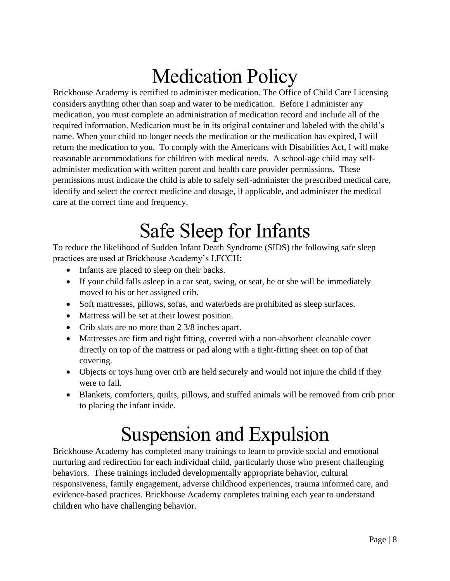### Medication Policy

Brickhouse Academy is certified to administer medication. The Office of Child Care Licensing considers anything other than soap and water to be medication. Before I administer any medication, you must complete an administration of medication record and include all of the required information. Medication must be in its original container and labeled with the child's name. When your child no longer needs the medication or the medication has expired, I will return the medication to you. To comply with the Americans with Disabilities Act, I will make reasonable accommodations for children with medical needs. A school-age child may selfadminister medication with written parent and health care provider permissions. These permissions must indicate the child is able to safely self-administer the prescribed medical care, identify and select the correct medicine and dosage, if applicable, and administer the medical care at the correct time and frequency.

### Safe Sleep for Infants

To reduce the likelihood of Sudden Infant Death Syndrome (SIDS) the following safe sleep practices are used at Brickhouse Academy's LFCCH:

- Infants are placed to sleep on their backs.
- If your child falls asleep in a car seat, swing, or seat, he or she will be immediately moved to his or her assigned crib.
- Soft mattresses, pillows, sofas, and waterbeds are prohibited as sleep surfaces.
- Mattress will be set at their lowest position.
- Crib slats are no more than 2 3/8 inches apart.
- Mattresses are firm and tight fitting, covered with a non-absorbent cleanable cover directly on top of the mattress or pad along with a tight-fitting sheet on top of that covering.
- Objects or toys hung over crib are held securely and would not injure the child if they were to fall.
- Blankets, comforters, quilts, pillows, and stuffed animals will be removed from crib prior to placing the infant inside.

### Suspension and Expulsion

Brickhouse Academy has completed many trainings to learn to provide social and emotional nurturing and redirection for each individual child, particularly those who present challenging behaviors. These trainings included developmentally appropriate behavior, cultural responsiveness, family engagement, adverse childhood experiences, trauma informed care, and evidence-based practices. Brickhouse Academy completes training each year to understand children who have challenging behavior.